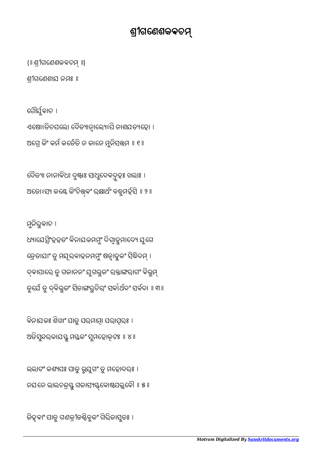ଜିହ୍ବାଂ ପାତୁ ଗଣକ୍ରୀଡକ୍ଷିବୁକଂ ଗିରିଜାସୁତଃ ।

ଲଲାଟଂ କଶ୍ୟପଃ ପାତୁ ଭୁଯୁଗଂ ତୁ ମହୋଦରଃ । ନଯନେ ଭାଲଚନ୍ଦ୍ରସ୍ତୁ ଗଜାସ୍ୟସ୍ତ୍ରବୋଷ୍ଠପଲୁବୌ ॥ ୫ ॥

ବିନାଯକଃ ଶିଖାଂ ପାତୁ ପର୍ଯାତ୍ମା ପରାତ୍ପରଃ । ଅତିସୁନ୍ଦରକାଯସ୍ତୁ ମସ୍ତକଂ ସୁମହୋକୃଟଃ ॥ ୪ ॥

ମୁନିରୁବାଚ । ଧ୍ୟାଯେତ୍ସିଂହହତଂ ବିନାଯକମମ୍ବଂ ଦିଗ୍ୱାହୁମାଦ୍ୟେ ଯୁଗେ ତ୍ରେତାଯାଂ ତୁ ମଯୂର୍ବାହନମମ୍ଭଂ ଷଡ୍ପାହୁକଂ ସିଦ୍ଧିଦମ୍ । ଦ୍ଵାପାରେ ତୁ ଗଜାନନଂ ଯୁଗଭୁଜଂ ରକ୍ତାଙ୍ଗରାଗଂ ବିଭୁମ୍ ତୁର୍ଯେ ତୁ ଦ୍ବିଭୁଜଂ ସିତାଙ୍ଗରୁଚିରଂ ସର୍ବା*ର୍ଥବଂ* ସର୍ବଦା ॥ ୩॥

ବୈତ୍ୟା ନାନାବିଧା ଦୁଷ୍ଟାଃ ସାଧୁଦେବଦୁହଃ ଖଲାଃ । ଅତୋଽସ୍ୟ କଣ୍ଟେ କିଂଚିତ୍ତ୍ବଂ ରକ୍ଷାର୍ଥଂ ବଵ୍ଧୁମର୍ହସି ॥ ୨ ॥

ଗୌର୍ଯୁବାଚ । ଏଷୋଽତିଚପଲେ। ଦୈତ୍ୟାନ୍ୱାଲ୍ୟେଽପି ନାଶଯତ୍ୟହୋ । ଅଗ୍ରେ କିଂ କର୍ମ କର୍ତେତି ନ ଜାନେ ମୁନିସତ୍ତ୍ୱମ ॥ ୧ ॥

ଶୀଗେଣଶାଯ ନମଃ ॥

{॥ ଶୀଗେଣଶକଵଚ ॥}

## ଶୀଗେଣଶକଵଚ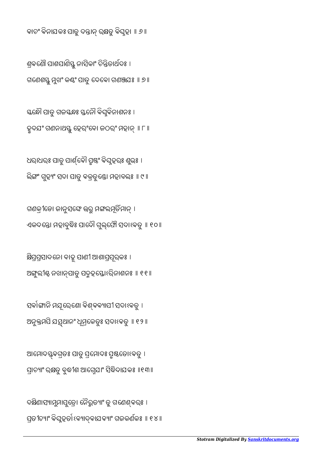ଦକ୍ଷିଣାସ୍ୟାମୁମାପୁଡ୍ରୋ ନୈରୁତ୍ୟାଂ ତୁ ଗଣେଶ୍ବରଃ । ପ୍ରତୀଚ୍ୟାଂ ବିଘୁହର୍ଡା ଽବ୍ୟାଦ୍ବାଯବ୍ୟାଂ ଗଜକର୍ଣକଃ ॥ ୧୪ ॥

ଆମୋଦସ୍ତ୍ୱବଗ୍ରତଃ ପାତୁ ପ୍ରମୋଦଃ ପ୍ରୁଷ୍ଠତୋଽବତୁ । ପ୍ରାଚ୍ୟାଂ ରକ୍ଷତୁ ବୁଦ୍ଧୀଶ ଆଗ୍ନେଯାଂ ସିଦ୍ଧିଦାଯକଃ ॥୧୩॥

ସର୍ବାଙ୍ଗାନି ମଯୂରେଶୋ ବିଶ୍ବବ୍ୟାପୀ ସଦାଽବତୁ । ଅନୁମପି ଯ୍ଥାନଂ ଧମୂେକତୁଃ ସଦାଽଵତୁ ॥ ୧୨॥

କ୍ଷିପ୍ରପ୍ରସାଦନୋ ବାହୁ ପାଣୀ ଆଶାପ୍ରପୂର୍କଃ । ଅୁଲୀ ନଖାପାତୁ ପଦହୋଽରିନାଶନଃ ॥ ୧୧॥

ଗଣକ୍ରୀଡୋ ଜାନୁସଙ୍ଘେ ଉରୁ ମଙ୍ଗଲମୂର୍ତିମାନ୍ । ଏକଦନ୍ତୋ ମହାବୁଦ୍ଧିଃ ପାଦୌ ଗୁଲ୍ଫୌ ସଦାଽବତୁ ॥ ୧୦॥

ଧରାଧରଃ ପାତୁ ପାର୍ଶ୍ବୋ ପୃଷଂ ବିଘ୍ନହରଃ ଶୁଭଃ । ଲିଙ୍ଗଂ ଗୁହ୍ୟଂ ସଦା ପାତୁ ବକ୍ରତୁଣ୍ଡୋ ମହାବଲଃ ॥ ୯ ॥

ସ୍କନ୍ଧୌ ପାତୁ ଗଜସ୍କନ୍ଧଃ ସ୍ତନୌ ବିଘୁବିନାଶନଃ । ହୃଦଯଂ ଗଣନାଥସ୍ତୁ ହେରଂବୋ ଜଠରଂ ମହାନ୍ ॥ ୮ ॥

ଶ୍ରବଣୌ ପାଶପାଣିସ୍ତୁ ନାସିକାଂ ଚିନ୍ତିତାର୍ଥଦଃ । ଗଣେଶସ୍ତୁ ମୁଖଂ କଣ୍ଠଂ ପାତୁ ଦେବୋ ଗଣଞ୍ଜଯଃ ॥ ୭ ॥

କାଚଂ ବିନାଯକଃ ପାତୁ ଦନ୍ତାନ୍ ରକ୍ଷତୁ ବିଘୁହା ॥ ୬ ॥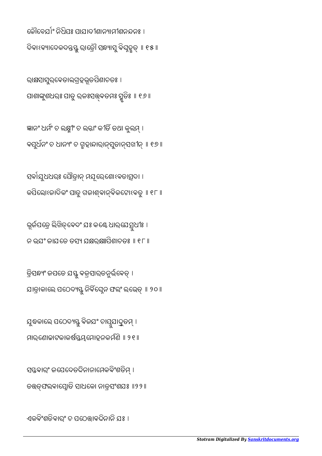ଏକବିଂଶତିବାରଂ ଚ ପଠେତ୍ତାବଦିନାନି ଯଃ ।

ସସ୍ତବାର୍ଂ ଜପେଦେତଦିନାନାମେକବିଂଶତିମ୍ । ତତ୍ତ୍ତ୍ପଲବାପ୍ନୋତି ସାଧକୋ ନାତ୍ରସଂଶଯଃ ॥୨୨॥

ଯୁଦ୍ଧକାଲେ ପଠେଦ୍ୟସ୍ତୁ ବିଜଯଂ ଚାପୁଯାଦ୍ରୁତମ୍ । ମାରଣୋଚ୍ଚାଟକାକର୍ଷସ୍ତ୍ରପ୍ନମୋହନକର୍ମଣି ॥ ୨୧ ॥

ତ୍ରିସନ୍ଧ୍ୟଂ ଜପତେ ଯସ୍ତୁ ବଜ୍ରସାରତନୁର୍ଭବେତ୍ । ଯାତ୍ରାକାଲେ ପଠେଦ୍ୟସ୍ତୁ ନିର୍ବିଘ୍ନେନ ଫଲଂ ଲଭେତ୍ ॥ ୨୦॥

ଭୂର୍ଜପତ୍ରେ ଲିଖିତ୍ବେଦଂ ଯଃ କଣ୍ଠେ ଧାର୍ଯେ ସୁଧୀଃ । ନ ଭୂଯଂ ଜାଯତେ ତସ୍ୟ ଯକ୍ଷର୍କ୍ଷଥିଶାଚତଃ ॥ ୧୮ ॥

ସର୍ବାଯୁଧଧରଃ ପୌତ୍ରାନ୍ ମଯୂରେଶୋଽବତାତ୍ସଦା । କପିଲୋଽଜାଦିକଂ ପାତୁ ଗଜାଶ୍ବାନ୍ବିକଟୋଽବତୁ ॥ ୧୮ ॥

ଜ୍ଞାନଂ ଧର୍ମଂ ଚ ଲକ୍ଷ୍ମୀଂ ଚ ଲଜ୍ଜାଂ କୀତି ତଥା କୁଲମ୍ । ବସୁର୍ଧନଂ ଚ ଧାନ୍ୟଂ ଚ ଗ୍ରହାନ୍ଦାରାନ୍ସୁତାନ୍ସଖୀନ୍ ॥ ୧୭ ॥

ରାକ୍ଷସାସୁର୍ବେତାଲଗ୍ରହଭୂତପିଶାଚତଃ । ପାଶାଙ୍କୁଶଧରଃ ପାତୁ ରଜଃସତ୍ତ୍ବତମଃ ସ୍ମୃତିଃ ॥ ୧୬ ॥

କୌବେଯ<sup>୍</sup>ୀ ନିଧିପଃ ପାଯାଦୀଶାନ୍ୟାମୀଶନନ୍ଦନଃ । ଦିବାଽବ୍ୟାଦେକଦନ୍ତସ୍ତୁ ରାତ୍ରୌ ସନ୍ଧ୍ୟାସୁ ବିଘ୍ନହୃତ୍ ॥ ୧୫ ॥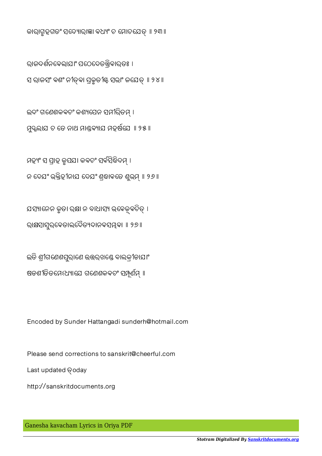Ganesha kavacham Lyrics in Oriya PDF

http://sanskritdocuments.org

Last updated Goday

Please send corrections to sanskrit@cheerful.com

Encoded by Sunder Hattangadi sunderh@hotmail.com

ଷଡଶୀତିତମେଽଧ୍ୟାଯେ ଗଣେଶକବଚଂ ସମ୍ପୂର୍ଣମ୍ ॥

ଇତି ଶୀଗଣେଶପ୍ରରାଣେ ଉତ୍ତର୍ଖଣ୍ଡେ ବାଲକୀଡାଯାଂ

ଯସ୍ୟାନେନ କୃତା ରକ୍ଷା ନ ବାଧାସ୍ୟ ଭବେକ୍ୱବଚିତ୍ । ରାକ୍ଷସାସ୍ରର୍ବେତାଲଦୈତ୍ୟଦାନବସ୍ୟୁବା ॥ ୨୭ ॥

ମହ୍ୟଂ ସ ପ୍ରାହ କୁପଯ। କବଚଂ ସର୍ବସିଦ୍ଧିଦମ୍ । ନ ଦେଯଂ ଭ୍କ୍ତିହୀନାଯ ଦେଯଂ ଶ୍ରଦାବତେ ଶୁଭ୍ମ୍ ॥ ୨୬ ॥

ମ୍ଭୁଲାଯ ଚ ତେ ନାଥ ମାଣ୍ଡବ୍ୟାଯ ମହର୍ଷଯେ ॥ ୨୫ ॥

ଇଦଂ ଗଣେଶକବଚଂ କଶ୍ୟପେନ ସମୀରିତମ୍ ।

ରାଜଦର୍ଶନବେଲାଯାଂ ପଠେଦେତତ୍ତ୍ରିବାର୍ତଃ । ସ ରାଜସଂ ବଶଂ ନୀତବା ପୂକୃତୀଣ୍ଟ ସଭାଂ ଜଯେତ ॥ ୨୪ ॥

କାରାଗୃହଗତଂ ସଦ୍ୟୋରାଜ୍ଞା ବଧ୍ୟଂ ଚ ମୋଚଯେତ୍ ॥ ୨୩॥